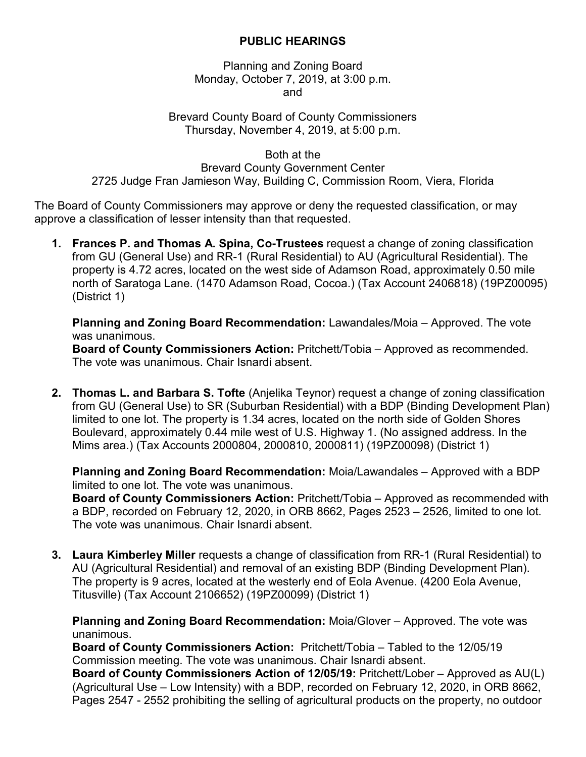## **PUBLIC HEARINGS**

Planning and Zoning Board Monday, October 7, 2019, at 3:00 p.m. and

## Brevard County Board of County Commissioners Thursday, November 4, 2019, at 5:00 p.m.

Both at the

Brevard County Government Center 2725 Judge Fran Jamieson Way, Building C, Commission Room, Viera, Florida

The Board of County Commissioners may approve or deny the requested classification, or may approve a classification of lesser intensity than that requested.

**1. Frances P. and Thomas A. Spina, Co-Trustees** request a change of zoning classification from GU (General Use) and RR-1 (Rural Residential) to AU (Agricultural Residential). The property is 4.72 acres, located on the west side of Adamson Road, approximately 0.50 mile north of Saratoga Lane. (1470 Adamson Road, Cocoa.) (Tax Account 2406818) (19PZ00095) (District 1)

**Planning and Zoning Board Recommendation:** Lawandales/Moia – Approved. The vote was unanimous.

**Board of County Commissioners Action:** Pritchett/Tobia – Approved as recommended. The vote was unanimous. Chair Isnardi absent.

**2. Thomas L. and Barbara S. Tofte** (Anjelika Teynor) request a change of zoning classification from GU (General Use) to SR (Suburban Residential) with a BDP (Binding Development Plan) limited to one lot. The property is 1.34 acres, located on the north side of Golden Shores Boulevard, approximately 0.44 mile west of U.S. Highway 1. (No assigned address. In the Mims area.) (Tax Accounts 2000804, 2000810, 2000811) (19PZ00098) (District 1)

**Planning and Zoning Board Recommendation:** Moia/Lawandales – Approved with a BDP limited to one lot. The vote was unanimous.

**Board of County Commissioners Action:** Pritchett/Tobia – Approved as recommended with a BDP, recorded on February 12, 2020, in ORB 8662, Pages 2523 – 2526, limited to one lot. The vote was unanimous. Chair Isnardi absent.

**3. Laura Kimberley Miller** requests a change of classification from RR-1 (Rural Residential) to AU (Agricultural Residential) and removal of an existing BDP (Binding Development Plan). The property is 9 acres, located at the westerly end of Eola Avenue. (4200 Eola Avenue, Titusville) (Tax Account 2106652) (19PZ00099) (District 1)

**Planning and Zoning Board Recommendation:** Moia/Glover – Approved. The vote was unanimous.

**Board of County Commissioners Action:** Pritchett/Tobia – Tabled to the 12/05/19 Commission meeting. The vote was unanimous. Chair Isnardi absent.

**Board of County Commissioners Action of 12/05/19:** Pritchett/Lober – Approved as AU(L) (Agricultural Use – Low Intensity) with a BDP, recorded on February 12, 2020, in ORB 8662, Pages 2547 - 2552 prohibiting the selling of agricultural products on the property, no outdoor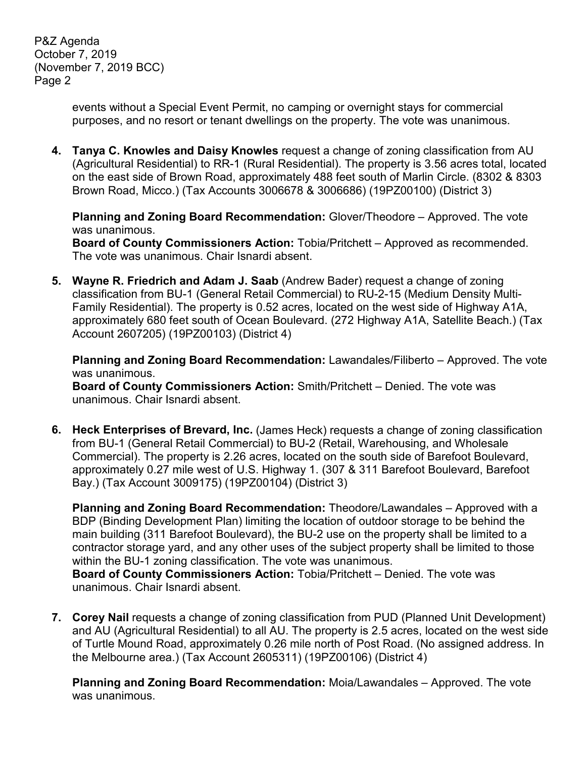P&Z Agenda October 7, 2019 (November 7, 2019 BCC) Page 2

> events without a Special Event Permit, no camping or overnight stays for commercial purposes, and no resort or tenant dwellings on the property. The vote was unanimous.

**4. Tanya C. Knowles and Daisy Knowles** request a change of zoning classification from AU (Agricultural Residential) to RR-1 (Rural Residential). The property is 3.56 acres total, located on the east side of Brown Road, approximately 488 feet south of Marlin Circle. (8302 & 8303 Brown Road, Micco.) (Tax Accounts 3006678 & 3006686) (19PZ00100) (District 3)

**Planning and Zoning Board Recommendation:** Glover/Theodore – Approved. The vote was unanimous.

**Board of County Commissioners Action:** Tobia/Pritchett – Approved as recommended. The vote was unanimous. Chair Isnardi absent.

**5. Wayne R. Friedrich and Adam J. Saab** (Andrew Bader) request a change of zoning classification from BU-1 (General Retail Commercial) to RU-2-15 (Medium Density Multi-Family Residential). The property is 0.52 acres, located on the west side of Highway A1A, approximately 680 feet south of Ocean Boulevard. (272 Highway A1A, Satellite Beach.) (Tax Account 2607205) (19PZ00103) (District 4)

**Planning and Zoning Board Recommendation:** Lawandales/Filiberto – Approved. The vote was unanimous.

**Board of County Commissioners Action:** Smith/Pritchett – Denied. The vote was unanimous. Chair Isnardi absent.

**6. Heck Enterprises of Brevard, Inc.** (James Heck) requests a change of zoning classification from BU-1 (General Retail Commercial) to BU-2 (Retail, Warehousing, and Wholesale Commercial). The property is 2.26 acres, located on the south side of Barefoot Boulevard, approximately 0.27 mile west of U.S. Highway 1. (307 & 311 Barefoot Boulevard, Barefoot Bay.) (Tax Account 3009175) (19PZ00104) (District 3)

**Planning and Zoning Board Recommendation:** Theodore/Lawandales – Approved with a BDP (Binding Development Plan) limiting the location of outdoor storage to be behind the main building (311 Barefoot Boulevard), the BU-2 use on the property shall be limited to a contractor storage yard, and any other uses of the subject property shall be limited to those within the BU-1 zoning classification. The vote was unanimous.

**Board of County Commissioners Action:** Tobia/Pritchett – Denied. The vote was unanimous. Chair Isnardi absent.

**7. Corey Nail** requests a change of zoning classification from PUD (Planned Unit Development) and AU (Agricultural Residential) to all AU. The property is 2.5 acres, located on the west side of Turtle Mound Road, approximately 0.26 mile north of Post Road. (No assigned address. In the Melbourne area.) (Tax Account 2605311) (19PZ00106) (District 4)

**Planning and Zoning Board Recommendation:** Moia/Lawandales – Approved. The vote was unanimous.